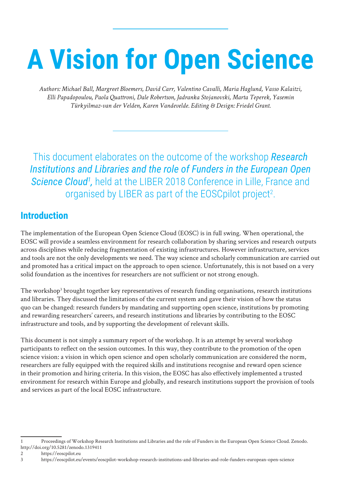# **A Vision for Open Science**

*Authors: Michael Ball, Margreet Bloemers, David Carr, Valentino Cavalli, Maria Haglund, Vasso Kalaitzi, Elli Papadopoulou, Paola Quattroni, Dale Robertson, Jadranka Stojanovski, Marta Teperek, Yasemin Türkyilmaz-van der Velden, Karen Vandevelde. Editing & Design: Friedel Grant.*

This document elaborates on the outcome of the workshop *Research Institutions and Libraries and the role of Funders in the European Open*  Science Cloud<sup>1</sup>, held at the LIBER 2018 Conference in Lille, France and organised by LIBER as part of the EOSCpilot project<sup>2</sup>.

## **Introduction**

The implementation of the European Open Science Cloud (EOSC) is in full swing. When operational, the EOSC will provide a seamless environment for research collaboration by sharing services and research outputs across disciplines while reducing fragmentation of existing infrastructures. However infrastructure, services and tools are not the only developments we need. The way science and scholarly communication are carried out and promoted has a critical impact on the approach to open science. Unfortunately, this is not based on a very solid foundation as the incentives for researchers are not sufficient or not strong enough.

The workshop<sup>3</sup> brought together key representatives of research funding organisations, research institutions and libraries. They discussed the limitations of the current system and gave their vision of how the status quo can be changed: research funders by mandating and supporting open science, institutions by promoting and rewarding researchers' careers, and research institutions and libraries by contributing to the EOSC infrastructure and tools, and by supporting the development of relevant skills.

This document is not simply a summary report of the workshop. It is an attempt by several workshop participants to reflect on the session outcomes. In this way, they contribute to the promotion of the open science vision: a vision in which open science and open scholarly communication are considered the norm, researchers are fully equipped with the required skills and institutions recognise and reward open science in their promotion and hiring criteria. In this vision, the EOSC has also effectively implemented a trusted environment for research within Europe and globally, and research institutions support the provision of tools and services as part of the local EOSC infrastructure.

<sup>1</sup> Proceedings of Workshop Research Institutions and Libraries and the role of Funders in the European Open Science Cloud. Zenodo. http://doi.org/10.5281/zenodo.1319411

<sup>2</sup> https://eoscpilot.eu

<sup>3</sup> https://eoscpilot.eu/events/eoscpilot-workshop-research-institutions-and-libraries-and-role-funders-european-open-science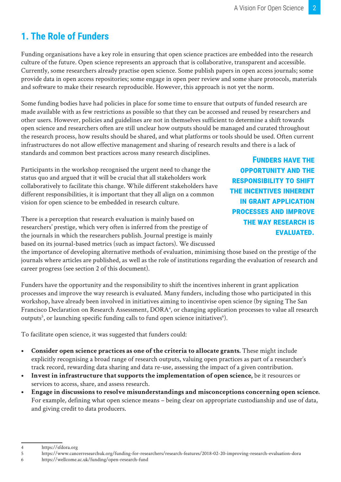# **1. The Role of Funders**

Funding organisations have a key role in ensuring that open science practices are embedded into the research culture of the future. Open science represents an approach that is collaborative, transparent and accessible. Currently, some researchers already practise open science. Some publish papers in open access journals; some provide data in open access repositories; some engage in open peer review and some share protocols, materials and software to make their research reproducible. However, this approach is not yet the norm.

Some funding bodies have had policies in place for some time to ensure that outputs of funded research are made available with as few restrictions as possible so that they can be accessed and reused by researchers and other users. However, policies and guidelines are not in themselves sufficient to determine a shift towards open science and researchers often are still unclear how outputs should be managed and curated throughout the research process, how results should be shared, and what platforms or tools should be used. Often current infrastructures do not allow effective management and sharing of research results and there is a lack of standards and common best practices across many research disciplines.

Participants in the workshop recognised the urgent need to change the status quo and argued that it will be crucial that all stakeholders work collaboratively to facilitate this change. While different stakeholders have different responsibilities, it is important that they all align on a common vision for open science to be embedded in research culture.

There is a perception that research evaluation is mainly based on researchers' prestige, which very often is inferred from the prestige of the journals in which the researchers publish. Journal prestige is mainly based on its journal-based metrics (such as impact factors). We discussed

**Funders have the opportunity and the responsibility to shift the incentives inherent in grant application processes and improve the way research is evaluated.** 

the importance of developing alternative methods of evaluation, minimising those based on the prestige of the journals where articles are published, as well as the role of institutions regarding the evaluation of research and career progress (see section 2 of this document).

Funders have the opportunity and the responsibility to shift the incentives inherent in grant application processes and improve the way research is evaluated. Many funders, including those who participated in this workshop, have already been involved in initiatives aiming to incentivise open science (by signing The San Francisco Declaration on Research Assessment, DORA<sup>4</sup>, or changing application processes to value all research outputs<sup>5</sup>, or launching specific funding calls to fund open science initiatives<sup>6</sup>).

To facilitate open science, it was suggested that funders could:

- **• Consider open science practices as one of the criteria to allocate grants.** These might include explicitly recognising a broad range of research outputs, valuing open practices as part of a researcher's track record, rewarding data sharing and data re-use, assessing the impact of a given contribution.
- **• Invest in infrastructure that supports the implementation of open science,** be it resources or services to access, share, and assess research.
- **• Engage in discussions to resolve misunderstandings and misconceptions concerning open science.**  For example, defining what open science means – being clear on appropriate custodianship and use of data, and giving credit to data producers.

<sup>4</sup> https://sfdora.org

<sup>5</sup> https://www.cancerresearchuk.org/funding-for-researchers/research-features/2018-02-20-improving-research-evaluation-dora

<sup>6</sup> https://wellcome.ac.uk/funding/open-research-fund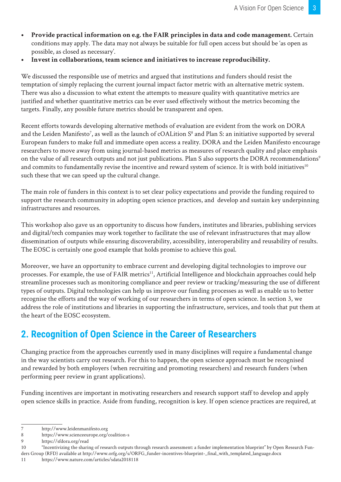- **• Provide practical information on e.g. the FAIR principles in data and code management.** Certain conditions may apply. The data may not always be suitable for full open access but should be 'as open as possible, as closed as necessary'.
- **• Invest in collaborations, team science and initiatives to increase reproducibility.**

We discussed the responsible use of metrics and argued that institutions and funders should resist the temptation of simply replacing the current journal impact factor metric with an alternative metric system. There was also a discussion to what extent the attempts to measure quality with quantitative metrics are justified and whether quantitative metrics can be ever used effectively without the metrics becoming the targets. Finally, any possible future metrics should be transparent and open.

Recent efforts towards developing alternative methods of evaluation are evident from the work on DORA and the Leiden Manifesto<sup>7</sup>, as well as the launch of cOALition S<sup>8</sup> and Plan S: an initiative supported by several European funders to make full and immediate open access a reality. DORA and the Leiden Manifesto encourage researchers to move away from using journal-based metrics as measures of research quality and place emphasis on the value of all research outputs and not just publications. Plan S also supports the DORA recommendations<sup>9</sup> and commits to fundamentally revise the incentive and reward system of science. It is with bold initiatives<sup>10</sup> such these that we can speed up the cultural change.

The main role of funders in this context is to set clear policy expectations and provide the funding required to support the research community in adopting open science practices, and develop and sustain key underpinning infrastructures and resources.

This workshop also gave us an opportunity to discuss how funders, institutes and libraries, publishing services and digital/tech companies may work together to facilitate the use of relevant infrastructures that may allow dissemination of outputs while ensuring discoverability, accessibility, interoperability and reusability of results. The EOSC is certainly one good example that holds promise to achieve this goal.

Moreover, we have an opportunity to embrace current and developing digital technologies to improve our processes. For example, the use of FAIR metrics<sup>11</sup>, Artificial Intelligence and blockchain approaches could help streamline processes such as monitoring compliance and peer review or tracking/measuring the use of different types of outputs. Digital technologies can help us improve our funding processes as well as enable us to better recognise the efforts and the way of working of our researchers in terms of open science. In section 3, we address the role of institutions and libraries in supporting the infrastructure, services, and tools that put them at the heart of the EOSC ecosystem.

# **2. Recognition of Open Science in the Career of Researchers**

Changing practice from the approaches currently used in many disciplines will require a fundamental change in the way scientists carry out research. For this to happen, the open science approach must be recognised and rewarded by both employers (when recruiting and promoting researchers) and research funders (when performing peer review in grant applications).

Funding incentives are important in motivating researchers and research support staff to develop and apply open science skills in practice. Aside from funding, recognition is key. If open science practices are required, at

<sup>7</sup> http://www.leidenmanifesto.org

<sup>8</sup> https://www.scienceeurope.org/coalition-s

<sup>9</sup> https://sfdora.org/read

<sup>10</sup> "Incentivizing the sharing of research outputs through research assessment: a funder implementation blueprint" by Open Research Funders Group (RFD) available at http://www.orfg.org/s/ORFG\_funder-incentives-blueprint-\_final\_with\_templated\_language.docx

<sup>11</sup> https://www.nature.com/articles/sdata2018118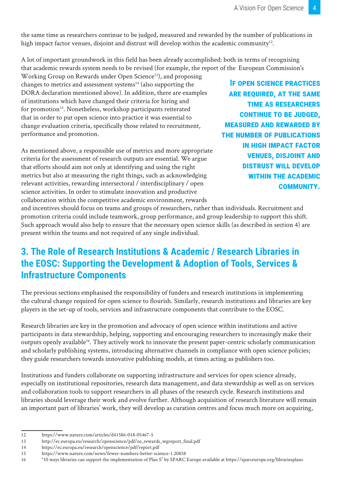the same time as researchers continue to be judged, measured and rewarded by the number of publications in high impact factor venues, disjoint and distrust will develop within the academic community<sup>12</sup>.

A lot of important groundwork in this field has been already accomplished: both in terms of recognising that academic rewards system needs to be revised (for example, the report of the European Commission's

Working Group on Rewards under Open Science<sup>13</sup>), and proposing changes to metrics and assessment systems $14$  (also supporting the DORA declaration mentioned above). In addition, there are examples of institutions which have changed their criteria for hiring and for promotion<sup>15</sup>. Nonetheless, workshop participants reiterated that in order to put open science into practice it was essential to change evaluation criteria, specifically those related to recruitment, performance and promotion.

As mentioned above, a responsible use of metrics and more appropriate criteria for the assessment of research outputs are essential. We argue that efforts should aim not only at identifying and using the right metrics but also at measuring the right things, such as acknowledging relevant activities, rewarding intersectoral / interdisciplinary / open science activities. In order to stimulate innovation and productive collaboration within the competitive academic environment, rewards

**If open science practices are required, at the same time as researchers continue to be judged, measured and rewarded by the number of publications in high impact factor venues, disjoint and distrust will develop within the academic community.**

and incentives should focus on teams and groups of researchers, rather than individuals. Recruitment and promotion criteria could include teamwork, group performance, and group leadership to support this shift. Such approach would also help to ensure that the necessary open science skills (as described in section 4) are present within the teams and not required of any single individual.

## **3. The Role of Research Institutions & Academic / Research Libraries in the EOSC: Supporting the Development & Adoption of Tools, Services & Infrastructure Components**

The previous sections emphasised the responsibility of funders and research institutions in implementing the cultural change required for open science to flourish. Similarly, research institutions and libraries are key players in the set-up of tools, services and infrastructure components that contribute to the EOSC.

Research libraries are key in the promotion and advocacy of open science within institutions and active participants in data stewardship, helping, supporting and encouraging researchers to increasingly make their outputs openly available<sup>16</sup>. They actively work to innovate the present paper-centric scholarly communication and scholarly publishing systems, introducing alternative channels in compliance with open science policies; they guide researchers towards innovative publishing models, at times acting as publishers too.

Institutions and funders collaborate on supporting infrastructure and services for open science already, especially on institutional repositories, research data management, and data stewardship as well as on services and collaboration tools to support researchers in all phases of the research cycle. Research institutions and libraries should leverage their work and evolve further. Although acquisition of research literature will remain an important part of libraries' work, they will develop as curation centres and focus much more on acquiring,

<sup>12</sup> https://www.nature.com/articles/d41586-018-05467-5

<sup>13</sup> http://ec.europa.eu/research/openscience/pdf/os\_rewards\_wgreport\_final.pdf

<sup>14</sup> https://ec.europa.eu/research/openscience/pdf/report.pdf

<sup>15</sup> https://www.nature.com/news/fewer-numbers-better-science-1.20858

<sup>16</sup> "10 ways libraries can support the implementation of Plan S" by SPARC Europe available at https://sparceurope.org/librariesplans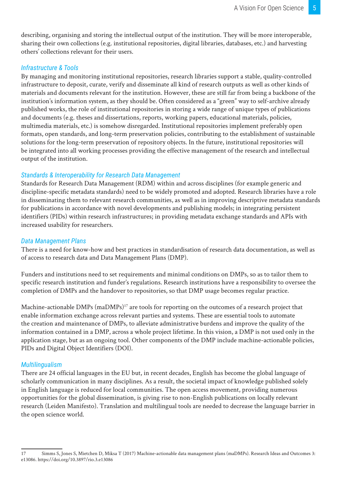describing, organising and storing the intellectual output of the institution. They will be more interoperable, sharing their own collections (e.g. institutional repositories, digital libraries, databases, etc.) and harvesting others' collections relevant for their users.

#### *Infrastructure & Tools*

By managing and monitoring institutional repositories, research libraries support a stable, quality-controlled infrastructure to deposit, curate, verify and disseminate all kind of research outputs as well as other kinds of materials and documents relevant for the institution. However, these are still far from being a backbone of the institution's information system, as they should be. Often considered as a "green" way to self-archive already published works, the role of institutional repositories in storing a wide range of unique types of publications and documents (e.g. theses and dissertations, reports, working papers, educational materials, policies, multimedia materials, etc.) is somehow disregarded. Institutional repositories implement preferably open formats, open standards, and long-term preservation policies, contributing to the establishment of sustainable solutions for the long-term preservation of repository objects. In the future, institutional repositories will be integrated into all working processes providing the effective management of the research and intellectual output of the institution.

#### *Standards & Interoperability for Research Data Management*

Standards for Research Data Management (RDM) within and across disciplines (for example generic and discipline-specific metadata standards) need to be widely promoted and adopted. Research libraries have a role in disseminating them to relevant research communities, as well as in improving descriptive metadata standards for publications in accordance with novel developments and publishing models; in integrating persistent identifiers (PIDs) within research infrastructures; in providing metadata exchange standards and APIs with increased usability for researchers.

#### *Data Management Plans*

There is a need for know-how and best practices in standardisation of research data documentation, as well as of access to research data and Data Management Plans (DMP).

Funders and institutions need to set requirements and minimal conditions on DMPs, so as to tailor them to specific research institution and funder's regulations. Research institutions have a responsibility to oversee the completion of DMPs and the handover to repositories, so that DMP usage becomes regular practice.

Machine-actionable DMPs (maDMPs)<sup>17</sup> are tools for reporting on the outcomes of a research project that enable information exchange across relevant parties and systems. These are essential tools to automate the creation and maintenance of DMPs, to alleviate administrative burdens and improve the quality of the information contained in a DMP, across a whole project lifetime. In this vision, a DMP is not used only in the application stage, but as an ongoing tool. Other components of the DMP include machine-actionable policies, PIDs and Digital Object Identifiers (DOI).

#### *Multilingualism*

There are 24 official languages in the EU but, in recent decades, English has become the global language of scholarly communication in many disciplines. As a result, the societal impact of knowledge published solely in English language is reduced for local communities. The open access movement, providing numerous opportunities for the global dissemination, is giving rise to non-English publications on locally relevant research (Leiden Manifesto). Translation and multilingual tools are needed to decrease the language barrier in the open science world.

<sup>17</sup> Simms S, Jones S, Mietchen D, Miksa T (2017) Machine-actionable data management plans (maDMPs). Research Ideas and Outcomes 3: e13086. https://doi.org/10.3897/rio.3.e13086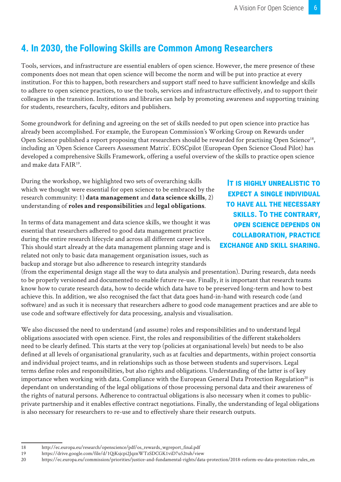## **4. In 2030, the Following Skills are Common Among Researchers**

Tools, services, and infrastructure are essential enablers of open science. However, the mere presence of these components does not mean that open science will become the norm and will be put into practice at every institution. For this to happen, both researchers and support staff need to have sufficient knowledge and skills to adhere to open science practices, to use the tools, services and infrastructure effectively, and to support their colleagues in the transition. Institutions and libraries can help by promoting awareness and supporting training for students, researchers, faculty, editors and publishers.

Some groundwork for defining and agreeing on the set of skills needed to put open science into practice has already been accomplished. For example, the European Commission's Working Group on Rewards under Open Science published a report proposing that researchers should be rewarded for practising Open Science<sup>18</sup>, including an 'Open Science Careers Assessment Matrix'. EOSCpilot (European Open Science Cloud Pilot) has developed a comprehensive Skills Framework, offering a useful overview of the skills to practice open science and make data FAIR19.

During the workshop, we highlighted two sets of overarching skills which we thought were essential for open science to be embraced by the research community: 1) **data management** and **data science skills**, 2) understanding of **roles and responsibilities** and **legal obligations**.

In terms of data management and data science skills, we thought it was essential that researchers adhered to good data management practice during the entire research lifecycle and across all different career levels. This should start already at the data management planning stage and is related not only to basic data management organisation issues, such as backup and storage but also adherence to research integrity standards

**It is highly unrealistic to expect a single individual to have all the necessary skills. To the contrary, open science depends on collaboration, practice exchange and skill sharing.**

(from the experimental design stage all the way to data analysis and presentation). During research, data needs to be properly versioned and documented to enable future re-use. Finally, it is important that research teams know how to curate research data, how to decide which data have to be preserved long-term and how to best achieve this. In addition, we also recognised the fact that data goes hand-in-hand with research code (and software) and as such it is necessary that researchers adhere to good code management practices and are able to use code and software effectively for data processing, analysis and visualisation.

We also discussed the need to understand (and assume) roles and responsibilities and to understand legal obligations associated with open science. First, the roles and responsibilities of the different stakeholders need to be clearly defined. This starts at the very top (policies at organisational levels) but needs to be also defined at all levels of organisational granularity, such as at faculties and departments, within project consortia and individual project teams, and in relationships such as those between students and supervisors. Legal terms define roles and responsibilities, but also rights and obligations. Understanding of the latter is of key importance when working with data. Compliance with the European General Data Protection Regulation<sup>20</sup> is dependant on understanding of the legal obligations of those processing personal data and their awareness of the rights of natural persons. Adherence to contractual obligations is also necessary when it comes to publicprivate partnership and it enables effective contract negotiations. Finally, the understanding of legal obligations is also necessary for researchers to re-use and to effectively share their research outputs.

<sup>18</sup> http://ec.europa.eu/research/openscience/pdf/os\_rewards\_wgreport\_final.pdf

<sup>19</sup> https://drive.google.com/file/d/1QjKsjcpi2JqznWTzSDCGK1viD7u52tuh/view

<sup>20</sup> https://ec.europa.eu/commission/priorities/justice-and-fundamental-rights/data-protection/2018-reform-eu-data-protection-rules\_en